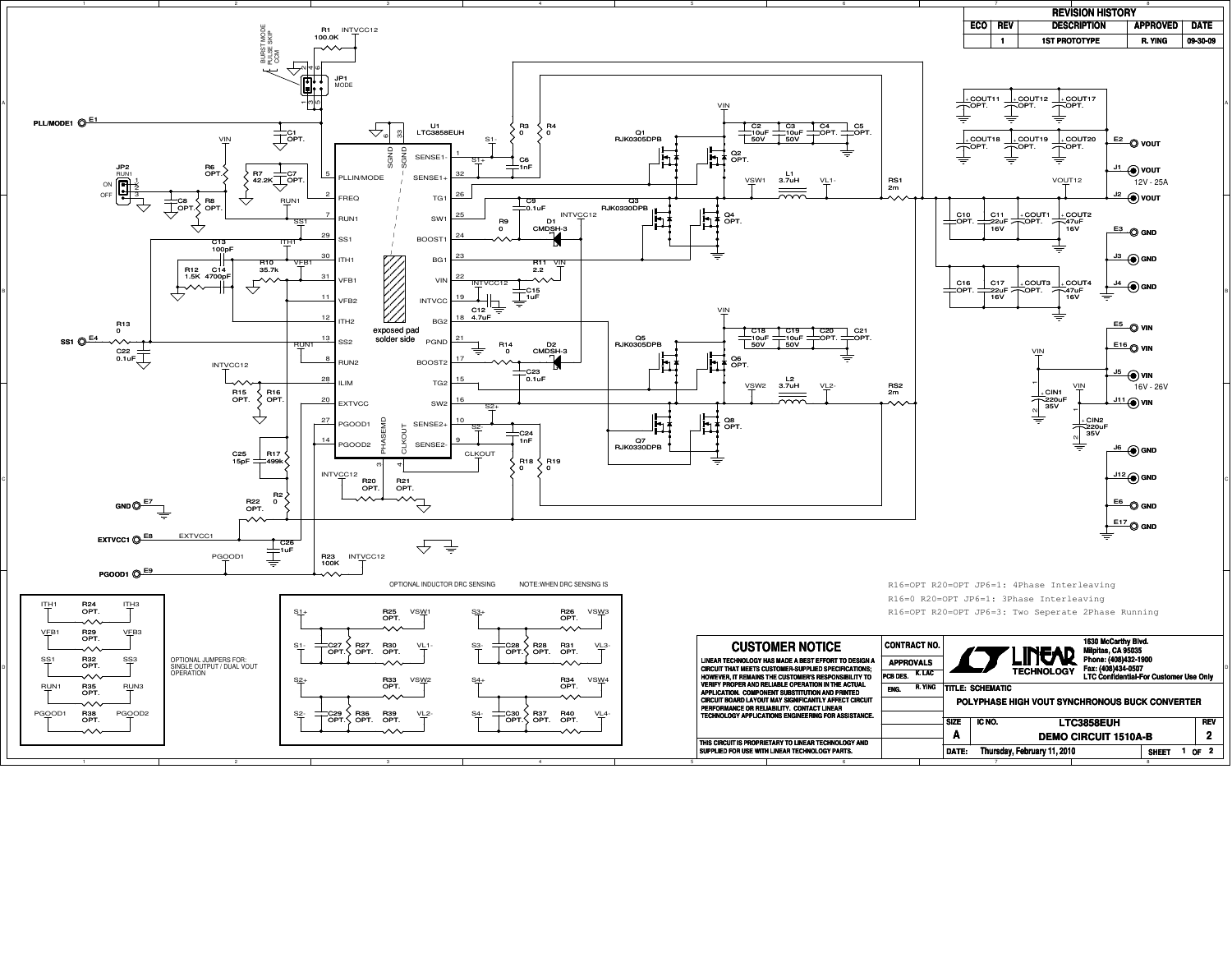